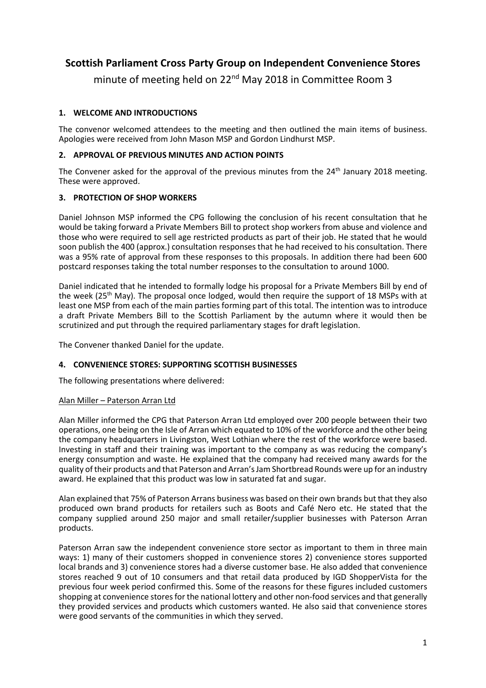# **Scottish Parliament Cross Party Group on Independent Convenience Stores**

minute of meeting held on 22<sup>nd</sup> May 2018 in Committee Room 3

# **1. WELCOME AND INTRODUCTIONS**

The convenor welcomed attendees to the meeting and then outlined the main items of business. Apologies were received from John Mason MSP and Gordon Lindhurst MSP.

## **2. APPROVAL OF PREVIOUS MINUTES AND ACTION POINTS**

The Convener asked for the approval of the previous minutes from the 24<sup>th</sup> January 2018 meeting. These were approved.

# **3. PROTECTION OF SHOP WORKERS**

Daniel Johnson MSP informed the CPG following the conclusion of his recent consultation that he would be taking forward a Private Members Bill to protect shop workers from abuse and violence and those who were required to sell age restricted products as part of their job. He stated that he would soon publish the 400 (approx.) consultation responses that he had received to his consultation. There was a 95% rate of approval from these responses to this proposals. In addition there had been 600 postcard responses taking the total number responses to the consultation to around 1000.

Daniel indicated that he intended to formally lodge his proposal for a Private Members Bill by end of the week ( $25<sup>th</sup>$  May). The proposal once lodged, would then require the support of 18 MSPs with at least one MSP from each of the main parties forming part of this total. The intention was to introduce a draft Private Members Bill to the Scottish Parliament by the autumn where it would then be scrutinized and put through the required parliamentary stages for draft legislation.

The Convener thanked Daniel for the update.

#### **4. CONVENIENCE STORES: SUPPORTING SCOTTISH BUSINESSES**

The following presentations where delivered:

#### Alan Miller – Paterson Arran Ltd

Alan Miller informed the CPG that Paterson Arran Ltd employed over 200 people between their two operations, one being on the Isle of Arran which equated to 10% of the workforce and the other being the company headquarters in Livingston, West Lothian where the rest of the workforce were based. Investing in staff and their training was important to the company as was reducing the company's energy consumption and waste. He explained that the company had received many awards for the quality of their products and that Paterson and Arran's Jam Shortbread Rounds were up for an industry award. He explained that this product was low in saturated fat and sugar.

Alan explained that 75% of Paterson Arrans business was based on their own brands but that they also produced own brand products for retailers such as Boots and Café Nero etc. He stated that the company supplied around 250 major and small retailer/supplier businesses with Paterson Arran products.

Paterson Arran saw the independent convenience store sector as important to them in three main ways: 1) many of their customers shopped in convenience stores 2) convenience stores supported local brands and 3) convenience stores had a diverse customer base. He also added that convenience stores reached 9 out of 10 consumers and that retail data produced by IGD ShopperVista for the previous four week period confirmed this. Some of the reasons for these figures included customers shopping at convenience stores for the national lottery and other non-food services and that generally they provided services and products which customers wanted. He also said that convenience stores were good servants of the communities in which they served.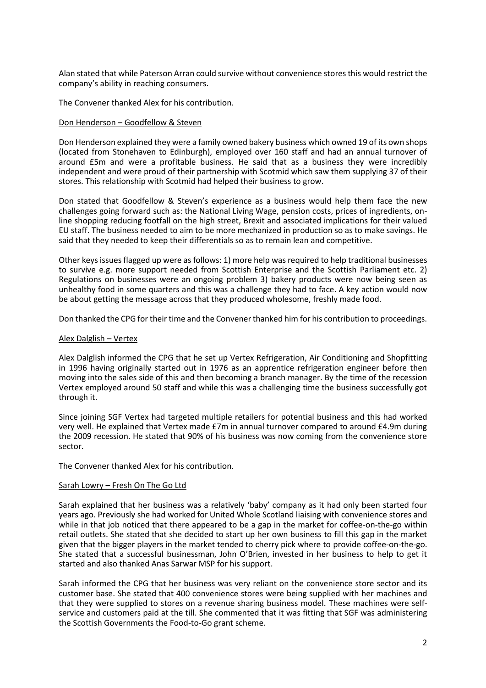Alan stated that while Paterson Arran could survive without convenience stores this would restrict the company's ability in reaching consumers.

The Convener thanked Alex for his contribution.

#### Don Henderson – Goodfellow & Steven

Don Henderson explained they were a family owned bakery business which owned 19 of its own shops (located from Stonehaven to Edinburgh), employed over 160 staff and had an annual turnover of around £5m and were a profitable business. He said that as a business they were incredibly independent and were proud of their partnership with Scotmid which saw them supplying 37 of their stores. This relationship with Scotmid had helped their business to grow.

Don stated that Goodfellow & Steven's experience as a business would help them face the new challenges going forward such as: the National Living Wage, pension costs, prices of ingredients, online shopping reducing footfall on the high street, Brexit and associated implications for their valued EU staff. The business needed to aim to be more mechanized in production so as to make savings. He said that they needed to keep their differentials so as to remain lean and competitive.

Other keys issues flagged up were as follows: 1) more help was required to help traditional businesses to survive e.g. more support needed from Scottish Enterprise and the Scottish Parliament etc. 2) Regulations on businesses were an ongoing problem 3) bakery products were now being seen as unhealthy food in some quarters and this was a challenge they had to face. A key action would now be about getting the message across that they produced wholesome, freshly made food.

Don thanked the CPG for their time and the Convener thanked him for his contribution to proceedings.

#### Alex Dalglish – Vertex

Alex Dalglish informed the CPG that he set up Vertex Refrigeration, Air Conditioning and Shopfitting in 1996 having originally started out in 1976 as an apprentice refrigeration engineer before then moving into the sales side of this and then becoming a branch manager. By the time of the recession Vertex employed around 50 staff and while this was a challenging time the business successfully got through it.

Since joining SGF Vertex had targeted multiple retailers for potential business and this had worked very well. He explained that Vertex made £7m in annual turnover compared to around £4.9m during the 2009 recession. He stated that 90% of his business was now coming from the convenience store sector.

The Convener thanked Alex for his contribution.

#### Sarah Lowry – Fresh On The Go Ltd

Sarah explained that her business was a relatively 'baby' company as it had only been started four years ago. Previously she had worked for United Whole Scotland liaising with convenience stores and while in that job noticed that there appeared to be a gap in the market for coffee-on-the-go within retail outlets. She stated that she decided to start up her own business to fill this gap in the market given that the bigger players in the market tended to cherry pick where to provide coffee-on-the-go. She stated that a successful businessman, John O'Brien, invested in her business to help to get it started and also thanked Anas Sarwar MSP for his support.

Sarah informed the CPG that her business was very reliant on the convenience store sector and its customer base. She stated that 400 convenience stores were being supplied with her machines and that they were supplied to stores on a revenue sharing business model. These machines were selfservice and customers paid at the till. She commented that it was fitting that SGF was administering the Scottish Governments the Food-to-Go grant scheme.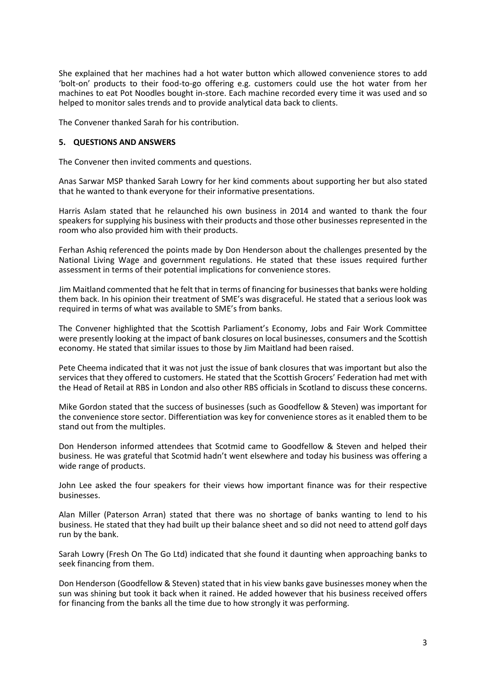She explained that her machines had a hot water button which allowed convenience stores to add 'bolt-on' products to their food-to-go offering e.g. customers could use the hot water from her machines to eat Pot Noodles bought in-store. Each machine recorded every time it was used and so helped to monitor sales trends and to provide analytical data back to clients.

The Convener thanked Sarah for his contribution.

#### **5. QUESTIONS AND ANSWERS**

The Convener then invited comments and questions.

Anas Sarwar MSP thanked Sarah Lowry for her kind comments about supporting her but also stated that he wanted to thank everyone for their informative presentations.

Harris Aslam stated that he relaunched his own business in 2014 and wanted to thank the four speakers for supplying his business with their products and those other businesses represented in the room who also provided him with their products.

Ferhan Ashiq referenced the points made by Don Henderson about the challenges presented by the National Living Wage and government regulations. He stated that these issues required further assessment in terms of their potential implications for convenience stores.

Jim Maitland commented that he felt that in terms of financing for businesses that banks were holding them back. In his opinion their treatment of SME's was disgraceful. He stated that a serious look was required in terms of what was available to SME's from banks.

The Convener highlighted that the Scottish Parliament's Economy, Jobs and Fair Work Committee were presently looking at the impact of bank closures on local businesses, consumers and the Scottish economy. He stated that similar issues to those by Jim Maitland had been raised.

Pete Cheema indicated that it was not just the issue of bank closures that was important but also the services that they offered to customers. He stated that the Scottish Grocers' Federation had met with the Head of Retail at RBS in London and also other RBS officials in Scotland to discuss these concerns.

Mike Gordon stated that the success of businesses (such as Goodfellow & Steven) was important for the convenience store sector. Differentiation was key for convenience stores as it enabled them to be stand out from the multiples.

Don Henderson informed attendees that Scotmid came to Goodfellow & Steven and helped their business. He was grateful that Scotmid hadn't went elsewhere and today his business was offering a wide range of products.

John Lee asked the four speakers for their views how important finance was for their respective businesses.

Alan Miller (Paterson Arran) stated that there was no shortage of banks wanting to lend to his business. He stated that they had built up their balance sheet and so did not need to attend golf days run by the bank.

Sarah Lowry (Fresh On The Go Ltd) indicated that she found it daunting when approaching banks to seek financing from them.

Don Henderson (Goodfellow & Steven) stated that in his view banks gave businesses money when the sun was shining but took it back when it rained. He added however that his business received offers for financing from the banks all the time due to how strongly it was performing.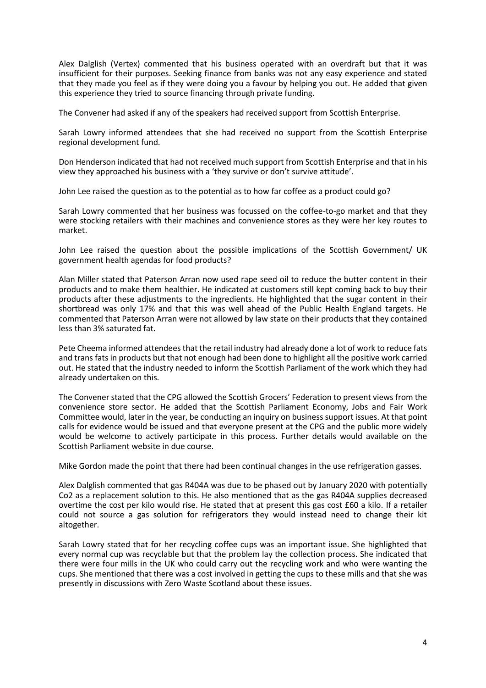Alex Dalglish (Vertex) commented that his business operated with an overdraft but that it was insufficient for their purposes. Seeking finance from banks was not any easy experience and stated that they made you feel as if they were doing you a favour by helping you out. He added that given this experience they tried to source financing through private funding.

The Convener had asked if any of the speakers had received support from Scottish Enterprise.

Sarah Lowry informed attendees that she had received no support from the Scottish Enterprise regional development fund.

Don Henderson indicated that had not received much support from Scottish Enterprise and that in his view they approached his business with a 'they survive or don't survive attitude'.

John Lee raised the question as to the potential as to how far coffee as a product could go?

Sarah Lowry commented that her business was focussed on the coffee-to-go market and that they were stocking retailers with their machines and convenience stores as they were her key routes to market.

John Lee raised the question about the possible implications of the Scottish Government/ UK government health agendas for food products?

Alan Miller stated that Paterson Arran now used rape seed oil to reduce the butter content in their products and to make them healthier. He indicated at customers still kept coming back to buy their products after these adjustments to the ingredients. He highlighted that the sugar content in their shortbread was only 17% and that this was well ahead of the Public Health England targets. He commented that Paterson Arran were not allowed by law state on their products that they contained less than 3% saturated fat.

Pete Cheema informed attendees that the retail industry had already done a lot of work to reduce fats and trans fats in products but that not enough had been done to highlight all the positive work carried out. He stated that the industry needed to inform the Scottish Parliament of the work which they had already undertaken on this.

The Convener stated that the CPG allowed the Scottish Grocers' Federation to present views from the convenience store sector. He added that the Scottish Parliament Economy, Jobs and Fair Work Committee would, later in the year, be conducting an inquiry on business support issues. At that point calls for evidence would be issued and that everyone present at the CPG and the public more widely would be welcome to actively participate in this process. Further details would available on the Scottish Parliament website in due course.

Mike Gordon made the point that there had been continual changes in the use refrigeration gasses.

Alex Dalglish commented that gas R404A was due to be phased out by January 2020 with potentially Co2 as a replacement solution to this. He also mentioned that as the gas R404A supplies decreased overtime the cost per kilo would rise. He stated that at present this gas cost £60 a kilo. If a retailer could not source a gas solution for refrigerators they would instead need to change their kit altogether.

Sarah Lowry stated that for her recycling coffee cups was an important issue. She highlighted that every normal cup was recyclable but that the problem lay the collection process. She indicated that there were four mills in the UK who could carry out the recycling work and who were wanting the cups. She mentioned that there was a cost involved in getting the cups to these mills and that she was presently in discussions with Zero Waste Scotland about these issues.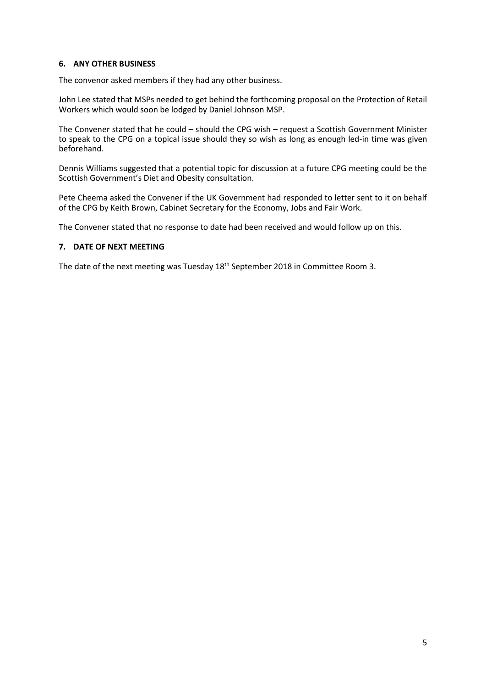# **6. ANY OTHER BUSINESS**

The convenor asked members if they had any other business.

John Lee stated that MSPs needed to get behind the forthcoming proposal on the Protection of Retail Workers which would soon be lodged by Daniel Johnson MSP.

The Convener stated that he could – should the CPG wish – request a Scottish Government Minister to speak to the CPG on a topical issue should they so wish as long as enough led-in time was given beforehand.

Dennis Williams suggested that a potential topic for discussion at a future CPG meeting could be the Scottish Government's Diet and Obesity consultation.

Pete Cheema asked the Convener if the UK Government had responded to letter sent to it on behalf of the CPG by Keith Brown, Cabinet Secretary for the Economy, Jobs and Fair Work.

The Convener stated that no response to date had been received and would follow up on this.

# **7. DATE OF NEXT MEETING**

The date of the next meeting was Tuesday 18<sup>th</sup> September 2018 in Committee Room 3.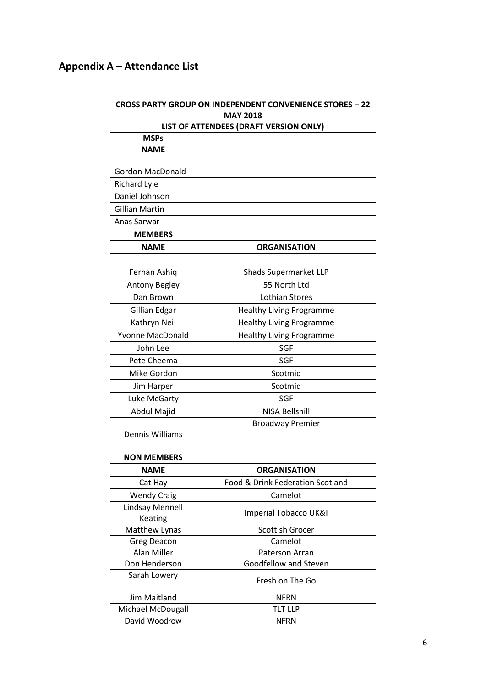# **Appendix A – Attendance List**

|                                                           | <b>CROSS PARTY GROUP ON INDEPENDENT CONVENIENCE STORES - 22</b> |  |
|-----------------------------------------------------------|-----------------------------------------------------------------|--|
| <b>MAY 2018</b><br>LIST OF ATTENDEES (DRAFT VERSION ONLY) |                                                                 |  |
|                                                           |                                                                 |  |
| <b>NAME</b>                                               |                                                                 |  |
|                                                           |                                                                 |  |
| <b>Gordon MacDonald</b>                                   |                                                                 |  |
| <b>Richard Lyle</b>                                       |                                                                 |  |
| Daniel Johnson                                            |                                                                 |  |
| <b>Gillian Martin</b>                                     |                                                                 |  |
| Anas Sarwar                                               |                                                                 |  |
| <b>MEMBERS</b>                                            |                                                                 |  |
| <b>NAME</b>                                               | <b>ORGANISATION</b>                                             |  |
| Ferhan Ashiq                                              | Shads Supermarket LLP                                           |  |
| <b>Antony Begley</b>                                      | 55 North Ltd                                                    |  |
| Dan Brown                                                 | Lothian Stores                                                  |  |
| Gillian Edgar                                             | <b>Healthy Living Programme</b>                                 |  |
| Kathryn Neil                                              | <b>Healthy Living Programme</b>                                 |  |
| <b>Yvonne MacDonald</b>                                   | <b>Healthy Living Programme</b>                                 |  |
| John Lee                                                  | SGF                                                             |  |
| Pete Cheema                                               | SGF                                                             |  |
| Mike Gordon                                               | Scotmid                                                         |  |
| Jim Harper                                                | Scotmid                                                         |  |
| Luke McGarty                                              | <b>SGF</b>                                                      |  |
| Abdul Majid                                               | <b>NISA Bellshill</b>                                           |  |
| Dennis Williams                                           | <b>Broadway Premier</b>                                         |  |
| <b>NON MEMBERS</b>                                        |                                                                 |  |
| <b>NAME</b>                                               | <b>ORGANISATION</b>                                             |  |
| Cat Hay                                                   | Food & Drink Federation Scotland                                |  |
| <b>Wendy Craig</b>                                        | Camelot                                                         |  |
| Lindsay Mennell                                           |                                                                 |  |
| Keating                                                   | Imperial Tobacco UK&I                                           |  |
| Matthew Lynas                                             | <b>Scottish Grocer</b>                                          |  |
| <b>Greg Deacon</b>                                        | Camelot                                                         |  |
| Alan Miller                                               | Paterson Arran                                                  |  |
| Don Henderson                                             | Goodfellow and Steven                                           |  |
| Sarah Lowery                                              | Fresh on The Go                                                 |  |
| Jim Maitland                                              | <b>NFRN</b>                                                     |  |
| Michael McDougall                                         | <b>TLT LLP</b>                                                  |  |
| David Woodrow                                             | <b>NFRN</b>                                                     |  |